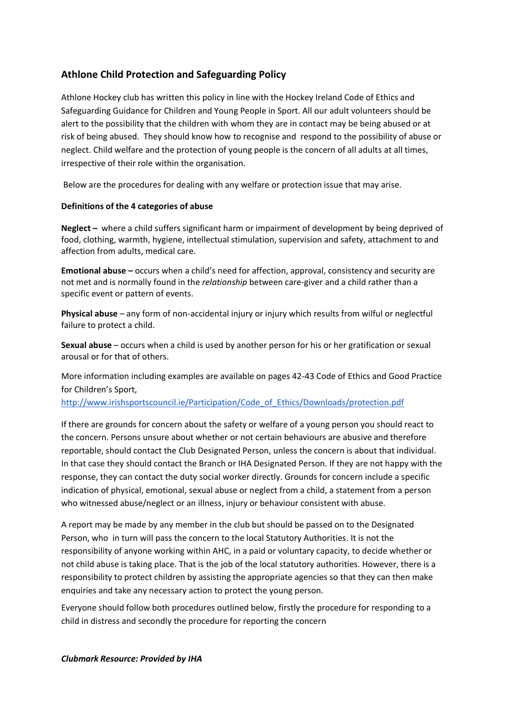# **Athlone Child Protection and Safeguarding Policy**

Athlone Hockey club has written this policy in line with the Hockey Ireland Code of Ethics and Safeguarding Guidance for Children and Young People in Sport. All our adult volunteers should be alert to the possibility that the children with whom they are in contact may be being abused or at risk of being abused. They should know how to recognise and respond to the possibility of abuse or neglect. Child welfare and the protection of young people is the concern of all adults at all times, irrespective of their role within the organisation.

Below are the procedures for dealing with any welfare or protection issue that may arise.

#### **Definitions of the 4 categories of abuse**

**Neglect –** where a child suffers significant harm or impairment of development by being deprived of food, clothing, warmth, hygiene, intellectual stimulation, supervision and safety, attachment to and affection from adults, medical care.

**Emotional abuse –** occurs when a child's need for affection, approval, consistency and security are not met and is normally found in the *relationship* between care-giver and a child rather than a specific event or pattern of events.

**Physical abuse** – any form of non-accidental injury or injury which results from wilful or neglectful failure to protect a child.

**Sexual abuse** – occurs when a child is used by another person for his or her gratification or sexual arousal or for that of others.

More information including examples are available on pages 42-43 Code of Ethics and Good Practice for Children's Sport,

[http://www.irishsportscouncil.ie/Participation/Code\\_of\\_Ethics/Downloads/protection.pdf](http://www.irishsportscouncil.ie/Participation/Code_of_Ethics/Downloads/protection.pdf)

If there are grounds for concern about the safety or welfare of a young person you should react to the concern. Persons unsure about whether or not certain behaviours are abusive and therefore reportable, should contact the Club Designated Person, unless the concern is about that individual. In that case they should contact the Branch or IHA Designated Person. If they are not happy with the response, they can contact the duty social worker directly. Grounds for concern include a specific indication of physical, emotional, sexual abuse or neglect from a child, a statement from a person who witnessed abuse/neglect or an illness, injury or behaviour consistent with abuse.

A report may be made by any member in the club but should be passed on to the Designated Person, who in turn will pass the concern to the local Statutory Authorities. It is not the responsibility of anyone working within AHC, in a paid or voluntary capacity, to decide whether or not child abuse is taking place. That is the job of the local statutory authorities. However, there is a responsibility to protect children by assisting the appropriate agencies so that they can then make enquiries and take any necessary action to protect the young person.

Everyone should follow both procedures outlined below, firstly the procedure for responding to a child in distress and secondly the procedure for reporting the concern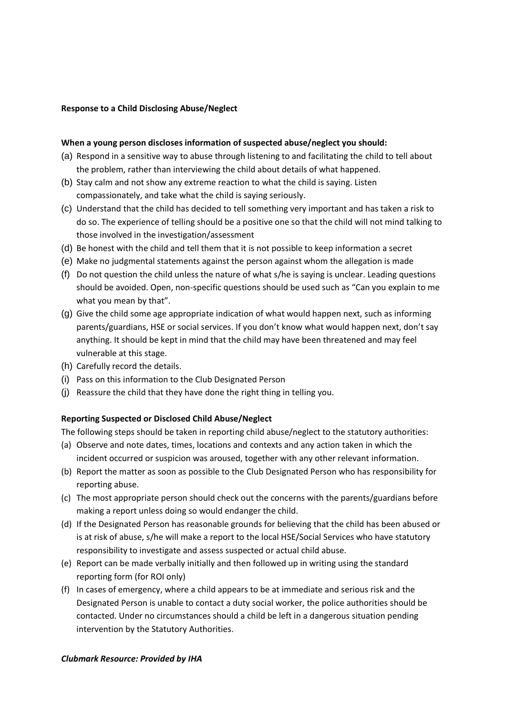#### **Response to a Child Disclosing Abuse/Neglect**

#### **When a young person discloses information of suspected abuse/neglect you should:**

- (a) Respond in a sensitive way to abuse through listening to and facilitating the child to tell about the problem, rather than interviewing the child about details of what happened.
- (b) Stay calm and not show any extreme reaction to what the child is saying. Listen compassionately, and take what the child is saying seriously.
- (c) Understand that the child has decided to tell something very important and has taken a risk to do so. The experience of telling should be a positive one so that the child will not mind talking to those involved in the investigation/assessment
- (d) Be honest with the child and tell them that it is not possible to keep information a secret
- (e) Make no judgmental statements against the person against whom the allegation is made
- (f) Do not question the child unless the nature of what s/he is saying is unclear. Leading questions should be avoided. Open, non-specific questions should be used such as "Can you explain to me what you mean by that".
- (g) Give the child some age appropriate indication of what would happen next, such as informing parents/guardians, HSE or social services. If you don't know what would happen next, don't say anything. It should be kept in mind that the child may have been threatened and may feel vulnerable at this stage.
- (h) Carefully record the details.
- (i) Pass on this information to the Club Designated Person
- (j) Reassure the child that they have done the right thing in telling you.

#### **Reporting Suspected or Disclosed Child Abuse/Neglect**

The following steps should be taken in reporting child abuse/neglect to the statutory authorities:

- (a) Observe and note dates, times, locations and contexts and any action taken in which the incident occurred or suspicion was aroused, together with any other relevant information.
- (b) Report the matter as soon as possible to the Club Designated Person who has responsibility for reporting abuse.
- (c) The most appropriate person should check out the concerns with the parents/guardians before making a report unless doing so would endanger the child.
- (d) If the Designated Person has reasonable grounds for believing that the child has been abused or is at risk of abuse, s/he will make a report to the local HSE/Social Services who have statutory responsibility to investigate and assess suspected or actual child abuse.
- (e) Report can be made verbally initially and then followed up in writing using the standard reporting form (for ROI only)
- (f) In cases of emergency, where a child appears to be at immediate and serious risk and the Designated Person is unable to contact a duty social worker, the police authorities should be contacted. Under no circumstances should a child be left in a dangerous situation pending intervention by the Statutory Authorities.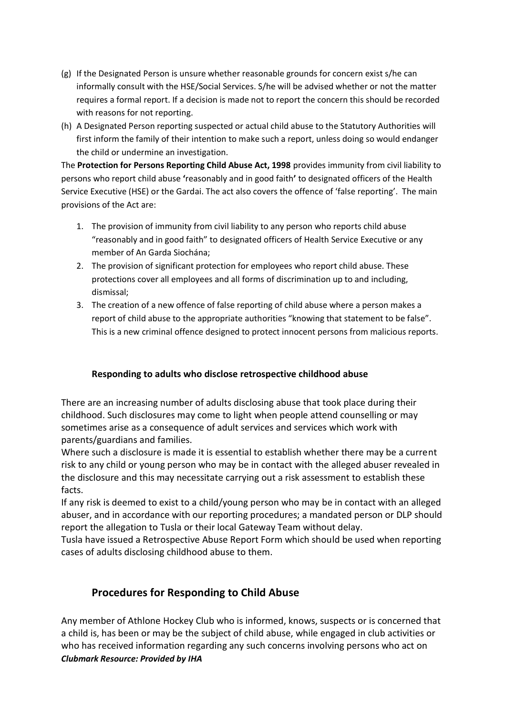- (g) If the Designated Person is unsure whether reasonable grounds for concern exist s/he can informally consult with the HSE/Social Services. S/he will be advised whether or not the matter requires a formal report. If a decision is made not to report the concern this should be recorded with reasons for not reporting.
- (h) A Designated Person reporting suspected or actual child abuse to the Statutory Authorities will first inform the family of their intention to make such a report, unless doing so would endanger the child or undermine an investigation.

The **Protection for Persons Reporting Child Abuse Act, 1998** provides immunity from civil liability to persons who report child abuse **'**reasonably and in good faith**'** to designated officers of the Health Service Executive (HSE) or the Gardai. The act also covers the offence of 'false reporting'. The main provisions of the Act are:

- 1. The provision of immunity from civil liability to any person who reports child abuse "reasonably and in good faith" to designated officers of Health Service Executive or any member of An Garda Siochána;
- 2. The provision of significant protection for employees who report child abuse. These protections cover all employees and all forms of discrimination up to and including, dismissal;
- 3. The creation of a new offence of false reporting of child abuse where a person makes a report of child abuse to the appropriate authorities "knowing that statement to be false". This is a new criminal offence designed to protect innocent persons from malicious reports.

# **Responding to adults who disclose retrospective childhood abuse**

There are an increasing number of adults disclosing abuse that took place during their childhood. Such disclosures may come to light when people attend counselling or may sometimes arise as a consequence of adult services and services which work with parents/guardians and families.

Where such a disclosure is made it is essential to establish whether there may be a current risk to any child or young person who may be in contact with the alleged abuser revealed in the disclosure and this may necessitate carrying out a risk assessment to establish these facts.

If any risk is deemed to exist to a child/young person who may be in contact with an alleged abuser, and in accordance with our reporting procedures; a mandated person or DLP should report the allegation to Tusla or their local Gateway Team without delay.

Tusla have issued a Retrospective Abuse Report Form which should be used when reporting cases of adults disclosing childhood abuse to them.

# **Procedures for Responding to Child Abuse**

*Clubmark Resource: Provided by IHA* Any member of Athlone Hockey Club who is informed, knows, suspects or is concerned that a child is, has been or may be the subject of child abuse, while engaged in club activities or who has received information regarding any such concerns involving persons who act on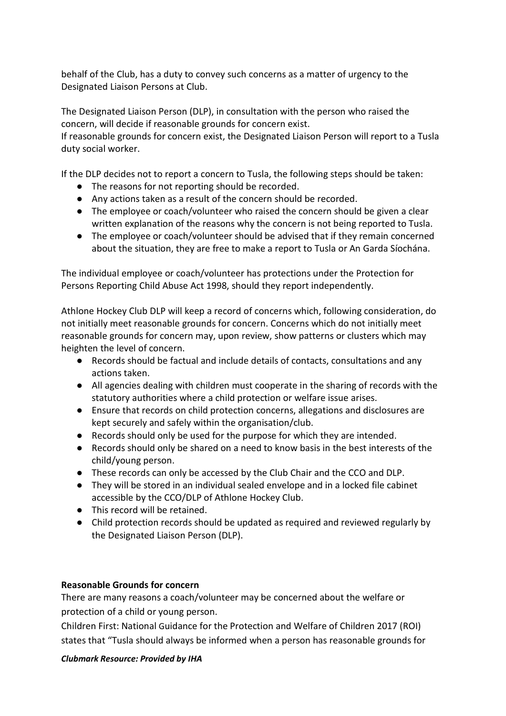behalf of the Club, has a duty to convey such concerns as a matter of urgency to the Designated Liaison Persons at Club.

The Designated Liaison Person (DLP), in consultation with the person who raised the concern, will decide if reasonable grounds for concern exist.

If reasonable grounds for concern exist, the Designated Liaison Person will report to a Tusla duty social worker.

If the DLP decides not to report a concern to Tusla, the following steps should be taken:

- The reasons for not reporting should be recorded.
- Any actions taken as a result of the concern should be recorded.
- The employee or coach/volunteer who raised the concern should be given a clear written explanation of the reasons why the concern is not being reported to Tusla.
- The employee or coach/volunteer should be advised that if they remain concerned about the situation, they are free to make a report to Tusla or An Garda Síochána.

The individual employee or coach/volunteer has protections under the Protection for Persons Reporting Child Abuse Act 1998, should they report independently.

Athlone Hockey Club DLP will keep a record of concerns which, following consideration, do not initially meet reasonable grounds for concern. Concerns which do not initially meet reasonable grounds for concern may, upon review, show patterns or clusters which may heighten the level of concern.

- Records should be factual and include details of contacts, consultations and any actions taken.
- All agencies dealing with children must cooperate in the sharing of records with the statutory authorities where a child protection or welfare issue arises.
- Ensure that records on child protection concerns, allegations and disclosures are kept securely and safely within the organisation/club.
- Records should only be used for the purpose for which they are intended.
- Records should only be shared on a need to know basis in the best interests of the child/young person.
- These records can only be accessed by the Club Chair and the CCO and DLP.
- They will be stored in an individual sealed envelope and in a locked file cabinet accessible by the CCO/DLP of Athlone Hockey Club.
- This record will be retained.
- Child protection records should be updated as required and reviewed regularly by the Designated Liaison Person (DLP).

# **Reasonable Grounds for concern**

There are many reasons a coach/volunteer may be concerned about the welfare or protection of a child or young person.

Children First: National Guidance for the Protection and Welfare of Children 2017 (ROI) states that "Tusla should always be informed when a person has reasonable grounds for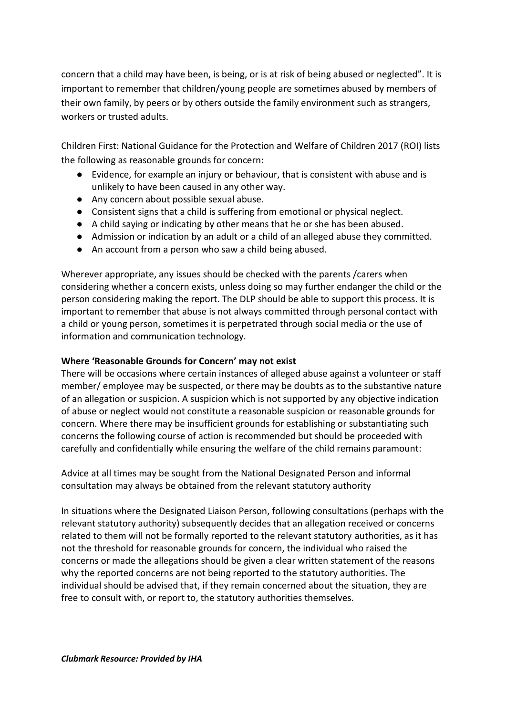concern that a child may have been, is being, or is at risk of being abused or neglected". It is important to remember that children/young people are sometimes abused by members of their own family, by peers or by others outside the family environment such as strangers, workers or trusted adults.

Children First: National Guidance for the Protection and Welfare of Children 2017 (ROI) lists the following as reasonable grounds for concern:

- Evidence, for example an injury or behaviour, that is consistent with abuse and is unlikely to have been caused in any other way.
- Any concern about possible sexual abuse.
- Consistent signs that a child is suffering from emotional or physical neglect.
- A child saying or indicating by other means that he or she has been abused.
- Admission or indication by an adult or a child of an alleged abuse they committed.
- An account from a person who saw a child being abused.

Wherever appropriate, any issues should be checked with the parents /carers when considering whether a concern exists, unless doing so may further endanger the child or the person considering making the report. The DLP should be able to support this process. It is important to remember that abuse is not always committed through personal contact with a child or young person, sometimes it is perpetrated through social media or the use of information and communication technology.

# **Where 'Reasonable Grounds for Concern' may not exist**

There will be occasions where certain instances of alleged abuse against a volunteer or staff member/ employee may be suspected, or there may be doubts as to the substantive nature of an allegation or suspicion. A suspicion which is not supported by any objective indication of abuse or neglect would not constitute a reasonable suspicion or reasonable grounds for concern. Where there may be insufficient grounds for establishing or substantiating such concerns the following course of action is recommended but should be proceeded with carefully and confidentially while ensuring the welfare of the child remains paramount:

Advice at all times may be sought from the National Designated Person and informal consultation may always be obtained from the relevant statutory authority

In situations where the Designated Liaison Person, following consultations (perhaps with the relevant statutory authority) subsequently decides that an allegation received or concerns related to them will not be formally reported to the relevant statutory authorities, as it has not the threshold for reasonable grounds for concern, the individual who raised the concerns or made the allegations should be given a clear written statement of the reasons why the reported concerns are not being reported to the statutory authorities. The individual should be advised that, if they remain concerned about the situation, they are free to consult with, or report to, the statutory authorities themselves.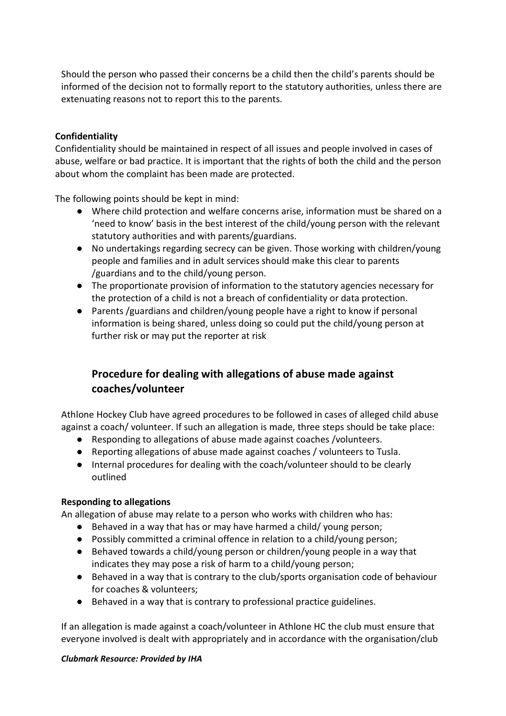Should the person who passed their concerns be a child then the child's parents should be informed of the decision not to formally report to the statutory authorities, unless there are extenuating reasons not to report this to the parents.

## **Confidentiality**

Confidentiality should be maintained in respect of all issues and people involved in cases of abuse, welfare or bad practice. It is important that the rights of both the child and the person about whom the complaint has been made are protected.

The following points should be kept in mind:

- Where child protection and welfare concerns arise, information must be shared on a 'need to know' basis in the best interest of the child/young person with the relevant statutory authorities and with parents/guardians.
- No undertakings regarding secrecy can be given. Those working with children/young people and families and in adult services should make this clear to parents /guardians and to the child/young person.
- The proportionate provision of information to the statutory agencies necessary for the protection of a child is not a breach of confidentiality or data protection.
- Parents /guardians and children/young people have a right to know if personal information is being shared, unless doing so could put the child/young person at further risk or may put the reporter at risk

# **Procedure for dealing with allegations of abuse made against coaches/volunteer**

Athlone Hockey Club have agreed procedures to be followed in cases of alleged child abuse against a coach/ volunteer. If such an allegation is made, three steps should be take place:

- Responding to allegations of abuse made against coaches /volunteers.
- Reporting allegations of abuse made against coaches / volunteers to Tusla.
- Internal procedures for dealing with the coach/volunteer should to be clearly outlined

# **Responding to allegations**

An allegation of abuse may relate to a person who works with children who has:

- Behaved in a way that has or may have harmed a child/ young person;
- Possibly committed a criminal offence in relation to a child/young person;
- Behaved towards a child/young person or children/young people in a way that indicates they may pose a risk of harm to a child/young person;
- Behaved in a way that is contrary to the club/sports organisation code of behaviour for coaches & volunteers;
- Behaved in a way that is contrary to professional practice guidelines.

If an allegation is made against a coach/volunteer in Athlone HC the club must ensure that everyone involved is dealt with appropriately and in accordance with the organisation/club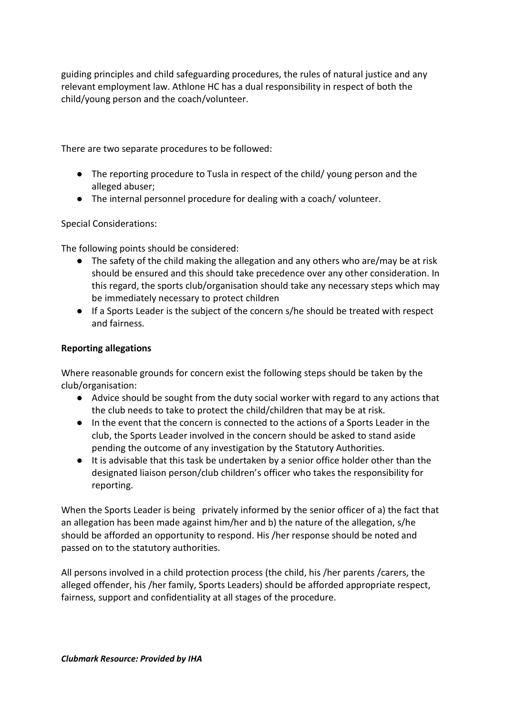guiding principles and child safeguarding procedures, the rules of natural justice and any relevant employment law. Athlone HC has a dual responsibility in respect of both the child/young person and the coach/volunteer.

There are two separate procedures to be followed:

- The reporting procedure to Tusla in respect of the child/ young person and the alleged abuser;
- The internal personnel procedure for dealing with a coach/ volunteer.

Special Considerations:

The following points should be considered:

- The safety of the child making the allegation and any others who are/may be at risk should be ensured and this should take precedence over any other consideration. In this regard, the sports club/organisation should take any necessary steps which may be immediately necessary to protect children
- If a Sports Leader is the subject of the concern s/he should be treated with respect and fairness.

## **Reporting allegations**

Where reasonable grounds for concern exist the following steps should be taken by the club/organisation:

- Advice should be sought from the duty social worker with regard to any actions that the club needs to take to protect the child/children that may be at risk.
- In the event that the concern is connected to the actions of a Sports Leader in the club, the Sports Leader involved in the concern should be asked to stand aside pending the outcome of any investigation by the Statutory Authorities.
- It is advisable that this task be undertaken by a senior office holder other than the designated liaison person/club children's officer who takes the responsibility for reporting.

When the Sports Leader is being privately informed by the senior officer of a) the fact that an allegation has been made against him/her and b) the nature of the allegation, s/he should be afforded an opportunity to respond. His /her response should be noted and passed on to the statutory authorities.

All persons involved in a child protection process (the child, his /her parents /carers, the alleged offender, his /her family, Sports Leaders) should be afforded appropriate respect, fairness, support and confidentiality at all stages of the procedure.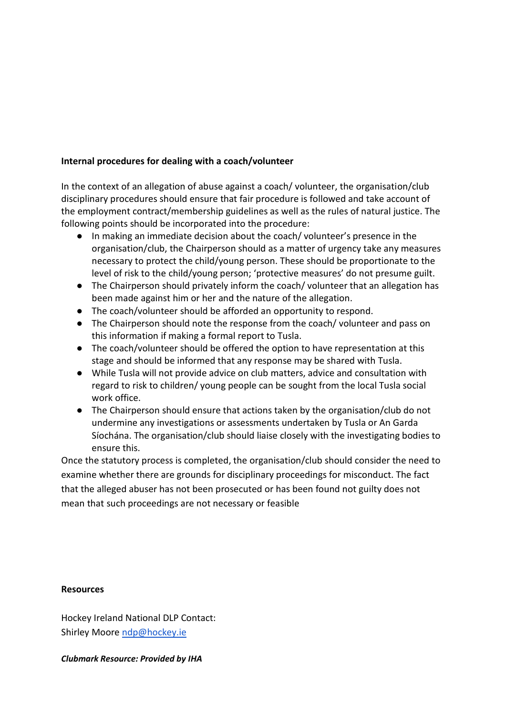# **Internal procedures for dealing with a coach/volunteer**

In the context of an allegation of abuse against a coach/ volunteer, the organisation/club disciplinary procedures should ensure that fair procedure is followed and take account of the employment contract/membership guidelines as well as the rules of natural justice. The following points should be incorporated into the procedure:

- In making an immediate decision about the coach/ volunteer's presence in the organisation/club, the Chairperson should as a matter of urgency take any measures necessary to protect the child/young person. These should be proportionate to the level of risk to the child/young person; 'protective measures' do not presume guilt.
- The Chairperson should privately inform the coach/ volunteer that an allegation has been made against him or her and the nature of the allegation.
- The coach/volunteer should be afforded an opportunity to respond.
- The Chairperson should note the response from the coach/ volunteer and pass on this information if making a formal report to Tusla.
- The coach/volunteer should be offered the option to have representation at this stage and should be informed that any response may be shared with Tusla.
- While Tusla will not provide advice on club matters, advice and consultation with regard to risk to children/ young people can be sought from the local Tusla social work office.
- The Chairperson should ensure that actions taken by the organisation/club do not undermine any investigations or assessments undertaken by Tusla or An Garda Síochána. The organisation/club should liaise closely with the investigating bodies to ensure this.

Once the statutory process is completed, the organisation/club should consider the need to examine whether there are grounds for disciplinary proceedings for misconduct. The fact that the alleged abuser has not been prosecuted or has been found not guilty does not mean that such proceedings are not necessary or feasible

### **Resources**

Hockey Ireland National DLP Contact: Shirley Moore [ndp@hockey.ie](mailto:ndp@hockey.ie)